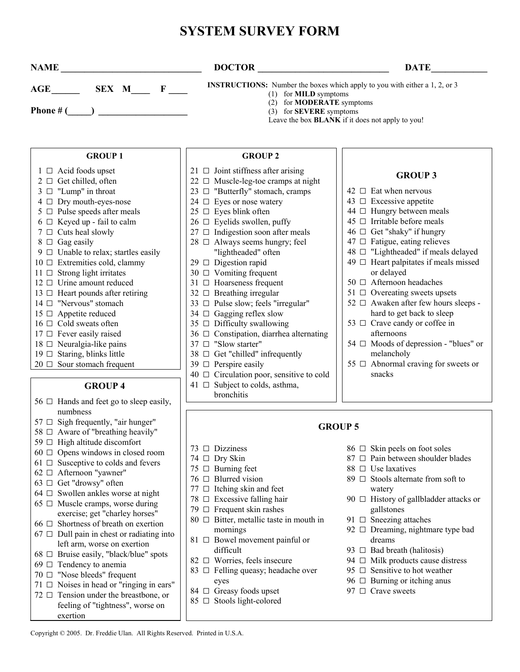# **SYSTEM SURVEY FORM**

| <b>NAME</b>                                                     | <b>DOCTOR</b>                                                                                                                                                                           | <b>DATE</b>                                                                |
|-----------------------------------------------------------------|-----------------------------------------------------------------------------------------------------------------------------------------------------------------------------------------|----------------------------------------------------------------------------|
| SEX M<br>$\mathbf{F}$<br>$\mathbf{AGE}$                         | <b>INSTRUCTIONS:</b> Number the boxes which apply to you with either a 1, 2, or 3<br>(1) for <b>MILD</b> symptoms<br>(2) for <b>MODERATE</b> symptoms<br>(3) for <b>SEVERE</b> symptoms | Leave the box <b>BLANK</b> if it does not apply to you!                    |
| <b>GROUP 1</b>                                                  | <b>GROUP 2</b>                                                                                                                                                                          |                                                                            |
| $1 \Box$ Acid foods upset<br>$2 \Box$ Get chilled, often        | 21 $\Box$ Joint stiffness after arising<br>$22 \Box$ Muscle-leg-toe cramps at night                                                                                                     | <b>GROUP 3</b>                                                             |
| $3 \Box$ "Lump" in throat                                       | 23 $\Box$ "Butterfly" stomach, cramps                                                                                                                                                   | $42 \Box$ Eat when nervous                                                 |
| 4 Dry mouth-eyes-nose                                           | 24 $\Box$ Eyes or nose watery                                                                                                                                                           | 43 $\Box$ Excessive appetite                                               |
| $5 \Box$ Pulse speeds after meals                               | $25 \Box$ Eyes blink often                                                                                                                                                              | 44 □ Hungry between meals                                                  |
| $6 \Box$ Keyed up - fail to calm                                | $26 \Box$ Eyelids swollen, puffy                                                                                                                                                        | $45 \Box$ Irritable before meals                                           |
| $7 \Box$ Cuts heal slowly                                       | $27 \Box$ Indigestion soon after meals                                                                                                                                                  | 46 □ Get "shaky" if hungry                                                 |
| $8 \Box$ Gag easily                                             | $28 \Box$ Always seems hungry; feel                                                                                                                                                     | $47 \Box$ Fatigue, eating relieves                                         |
| $9 \Box$ Unable to relax; startles easily                       | "lightheaded" often                                                                                                                                                                     | 48 □ "Lightheaded" if meals delayed                                        |
| 10 □ Extremities cold, clammy                                   | 29 □ Digestion rapid                                                                                                                                                                    | 49 $\Box$ Heart palpitates if meals missed                                 |
| $11 \square$ Strong light irritates                             | $30 \Box$ Vomiting frequent                                                                                                                                                             | or delayed                                                                 |
| $12 \Box$ Urine amount reduced                                  | 31 □ Hoarseness frequent                                                                                                                                                                | 50 $\Box$ Afternoon headaches                                              |
| 13 $\Box$ Heart pounds after retiring<br>14 □ "Nervous" stomach | 32 $\Box$ Breathing irregular                                                                                                                                                           | $51 \Box$ Overeating sweets upsets<br>52 □ Awaken after few hours sleeps - |
| $15 \Box$ Appetite reduced                                      | 33 □ Pulse slow; feels "irregular"<br>34 $\Box$ Gagging reflex slow                                                                                                                     | hard to get back to sleep                                                  |
| $16 \Box$ Cold sweats often                                     | 35 $\Box$ Difficulty swallowing                                                                                                                                                         | 53 □ Crave candy or coffee in                                              |
| $17 \Box$ Fever easily raised                                   | 36 □ Constipation, diarrhea alternating                                                                                                                                                 | afternoons                                                                 |
| $18 \Box$ Neuralgia-like pains                                  | 37 □ "Slow starter"                                                                                                                                                                     | 54 $\Box$ Moods of depression - "blues" or                                 |
| $19 \Box$ Staring, blinks little                                | $38 \Box$ Get "chilled" infrequently                                                                                                                                                    | melancholy                                                                 |
| $20 \Box$ Sour stomach frequent                                 | 39 $\Box$ Perspire easily                                                                                                                                                               | 55 $\Box$ Abnormal craving for sweets or                                   |
|                                                                 | $40 \Box$ Circulation poor, sensitive to cold                                                                                                                                           | snacks                                                                     |

#### **GROUP 4**

- $56 \Box$  Hands and feet go to sleep easily, numbness
- $57 \Box$  Sigh frequently, "air hunger"
- $58 \Box$  Aware of "breathing heavily"
- 59 □ High altitude discomfort
- 60 □ Opens windows in closed room
- $61 \Box$  Susceptive to colds and fevers
- 62 □ Afternoon "yawner"
- 63 □ Get "drowsy" often
- $64 \Box$  Swollen ankles worse at night
- $65 \Box$  Muscle cramps, worse during exercise; get "charley horses"
- 66 □ Shortness of breath on exertion
- $67 \Box$  Dull pain in chest or radiating into left arm, worse on exertion
- 68 □ Bruise easily, "black/blue" spots
- $69 \Box$  Tendency to anemia
- 70 □ "Nose bleeds" frequent
- $71 \Box$  Noises in head or "ringing in ears"
- $72 \Box$  Tension under the breastbone, or feeling of "tightness", worse on exertion

bronchitis

 $41 \Box$  Subject to colds, asthma,

#### **GROUP 5**

- $73$   $\Box$  Dizziness
- $74$   $\Box$  Dry Skin
- $75 \Box$  Burning feet
- $76 \Box$  Blurred vision
- 77 □ Itching skin and feet
- 78  $\Box$  Excessive falling hair
- $79 \Box$  Frequent skin rashes
- $80 \Box$  Bitter, metallic taste in mouth in mornings
- 81 □ Bowel movement painful or difficult
- 82 □ Worries, feels insecure
- 83  $\Box$  Felling queasy; headache over eyes
- 84 □ Greasy foods upset
- 85 □ Stools light-colored

- 86 □ Skin peels on foot soles
- 87 □ Pain between shoulder blades
- $88 \Box$  Use laxatives
- 89 □ Stools alternate from soft to watery
- 90 □ History of gallbladder attacks or gallstones
- 91  $\Box$  Sneezing attaches
- 92 □ Dreaming, nightmare type bad dreams
- 93  $\Box$  Bad breath (halitosis)
- 94  $\Box$  Milk products cause distress
- 95  $\Box$  Sensitive to hot weather
- $96 \Box$  Burning or itching anus
- 97 □ Crave sweets